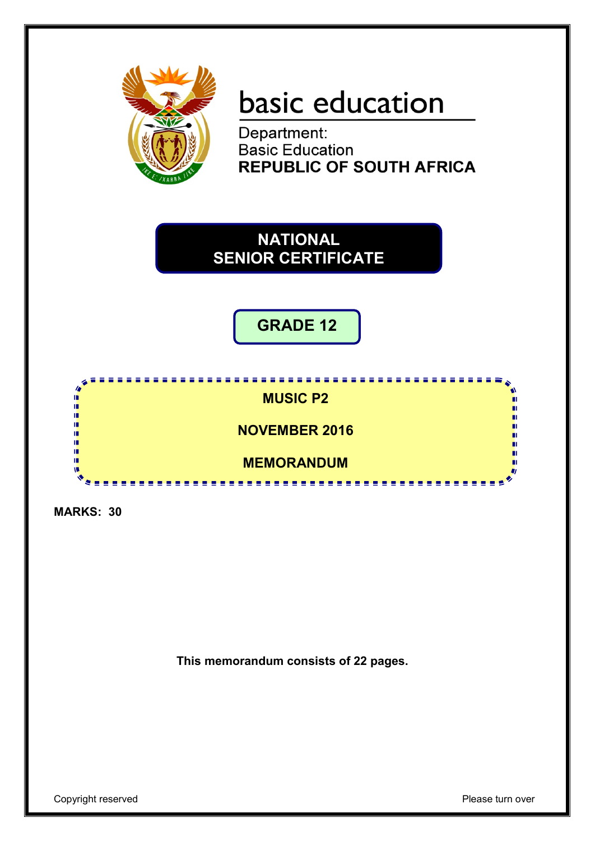

# basic education

Department: **Basic Education REPUBLIC OF SOUTH AFRICA** 



**GRADE 12**



**MARKS: 30**

**This memorandum consists of 22 pages.**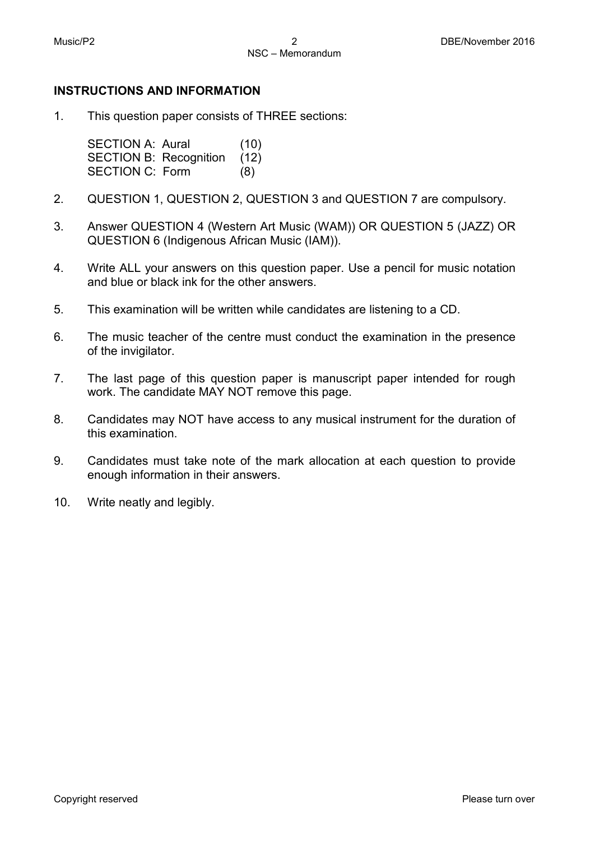#### **INSTRUCTIONS AND INFORMATION**

1. This question paper consists of THREE sections:

> SECTION A: Aural (10) SECTION B: Recognition (12) SECTION C: Form (8)

- 2. QUESTION 1, QUESTION 2, QUESTION 3 and QUESTION 7 are compulsory.
- 3. Answer QUESTION 4 (Western Art Music (WAM)) OR QUESTION 5 (JAZZ) OR QUESTION 6 (Indigenous African Music (IAM)).
- 4. Write ALL your answers on this question paper. Use a pencil for music notation and blue or black ink for the other answers.
- 5. This examination will be written while candidates are listening to a CD.
- 6. The music teacher of the centre must conduct the examination in the presence of the invigilator.
- 7. The last page of this question paper is manuscript paper intended for rough work. The candidate MAY NOT remove this page.
- 8. Candidates may NOT have access to any musical instrument for the duration of this examination.
- 9. Candidates must take note of the mark allocation at each question to provide enough information in their answers.
- 10. Write neatly and legibly.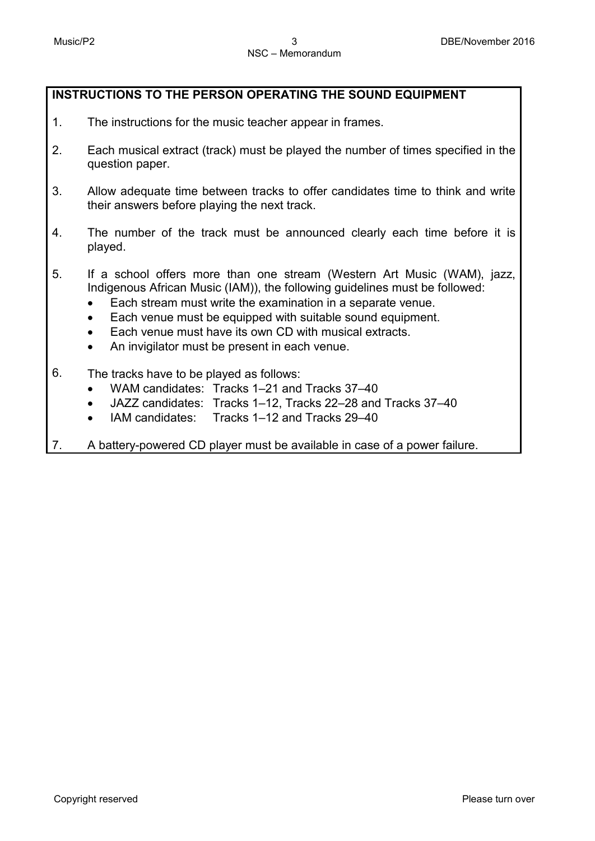## **INSTRUCTIONS TO THE PERSON OPERATING THE SOUND EQUIPMENT**

- 1. The instructions for the music teacher appear in frames.
- 2. Each musical extract (track) must be played the number of times specified in the question paper.
- 3. Allow adequate time between tracks to offer candidates time to think and write their answers before playing the next track.
- 4. The number of the track must be announced clearly each time before it is played.
- 5. If a school offers more than one stream (Western Art Music (WAM), jazz, Indigenous African Music (IAM)), the following guidelines must be followed:
	- Each stream must write the examination in a separate venue.
	- Each venue must be equipped with suitable sound equipment.
	- Each venue must have its own CD with musical extracts.
	- An invigilator must be present in each venue.
- 6. The tracks have to be played as follows:
	- WAM candidates: Tracks 1–21 and Tracks 37–40
	- JAZZ candidates: Tracks 1–12, Tracks 22–28 and Tracks 37–40
	- IAM candidates: Tracks 1–12 and Tracks 29–40
- 7. A battery-powered CD player must be available in case of a power failure.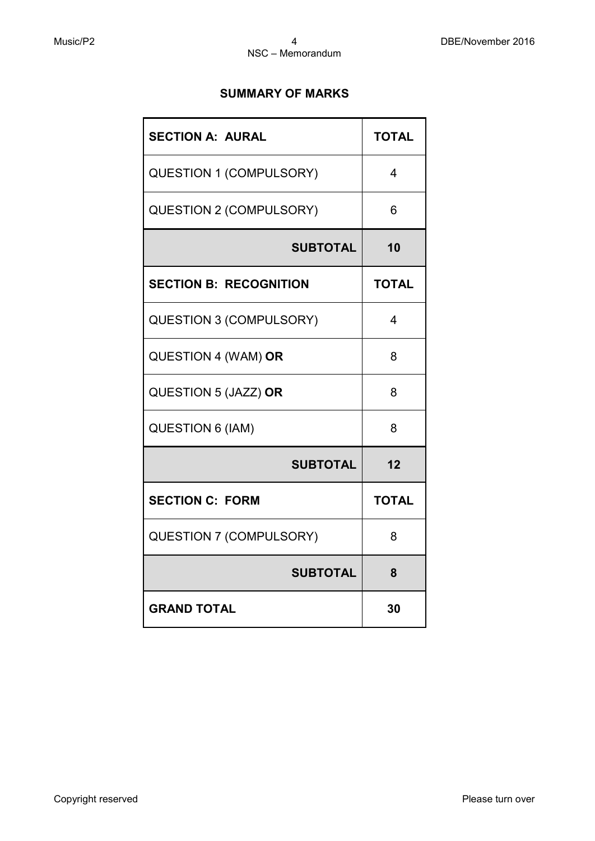## **SUMMARY OF MARKS**

| <b>SECTION A: AURAL</b>        | <b>TOTAL</b>            |
|--------------------------------|-------------------------|
| <b>QUESTION 1 (COMPULSORY)</b> | 4                       |
| <b>QUESTION 2 (COMPULSORY)</b> | 6                       |
| <b>SUBTOTAL</b>                | 10                      |
| <b>SECTION B: RECOGNITION</b>  | <b>TOTAL</b>            |
| <b>QUESTION 3 (COMPULSORY)</b> | $\overline{\mathbf{4}}$ |
| QUESTION 4 (WAM) OR            | 8                       |
| QUESTION 5 (JAZZ) OR           | 8                       |
| <b>QUESTION 6 (IAM)</b>        | 8                       |
| <b>SUBTOTAL</b>                | 12                      |
| <b>SECTION C: FORM</b>         | <b>TOTAL</b>            |
| <b>QUESTION 7 (COMPULSORY)</b> | 8                       |
| <b>SUBTOTAL</b>                | 8                       |
| <b>GRAND TOTAL</b>             | 30                      |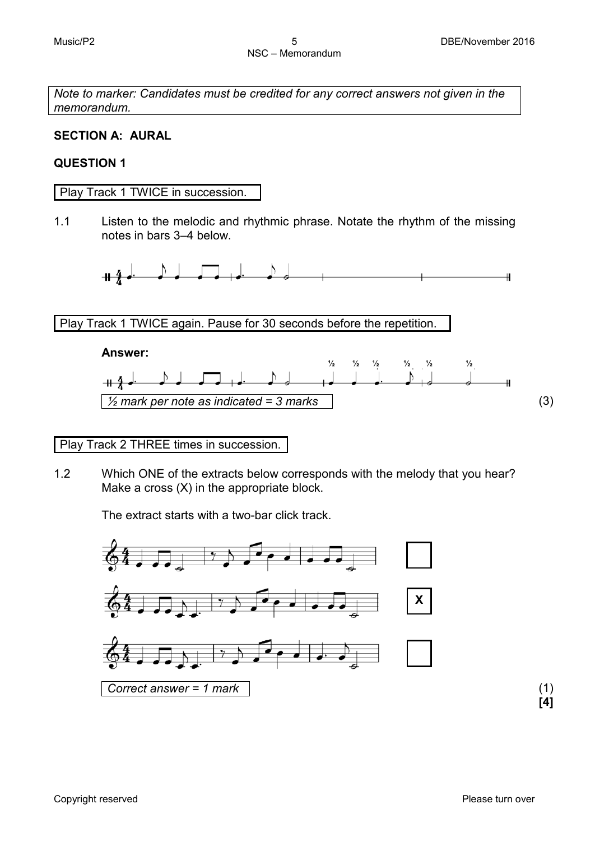*Note to marker: Candidates must be credited for any correct answers not given in the memorandum.*

## **SECTION A: AURAL**

## **QUESTION 1**

Play Track 1 TWICE in succession.

1.1 Listen to the melodic and rhythmic phrase. Notate the rhythm of the missing notes in bars 3–4 below.



Play Track 1 TWICE again. Pause for 30 seconds before the repetition.



## Play Track 2 THREE times in succession.

1.2 Which ONE of the extracts below corresponds with the melody that you hear? Make a cross (X) in the appropriate block.

The extract starts with a two-bar click track.



**[4]**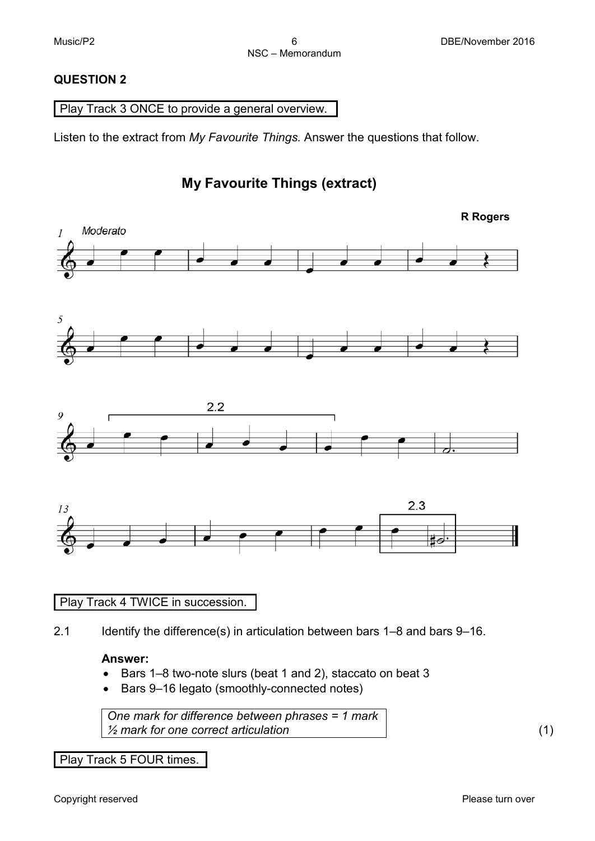## **QUESTION 2**

## Play Track 3 ONCE to provide a general overview.

Listen to the extract from *My Favourite Things.* Answer the questions that follow.

## **My Favourite Things (extract)**



## Play Track 4 TWICE in succession.

2.1 Identify the difference(s) in articulation between bars 1–8 and bars 9–16.

## **Answer:**

- Bars 1–8 two-note slurs (beat 1 and 2), staccato on beat 3
- Bars 9–16 legato (smoothly-connected notes)

*One mark for difference between phrases = 1 mark ½ mark for one correct articulation* (1)

Play Track 5 FOUR times.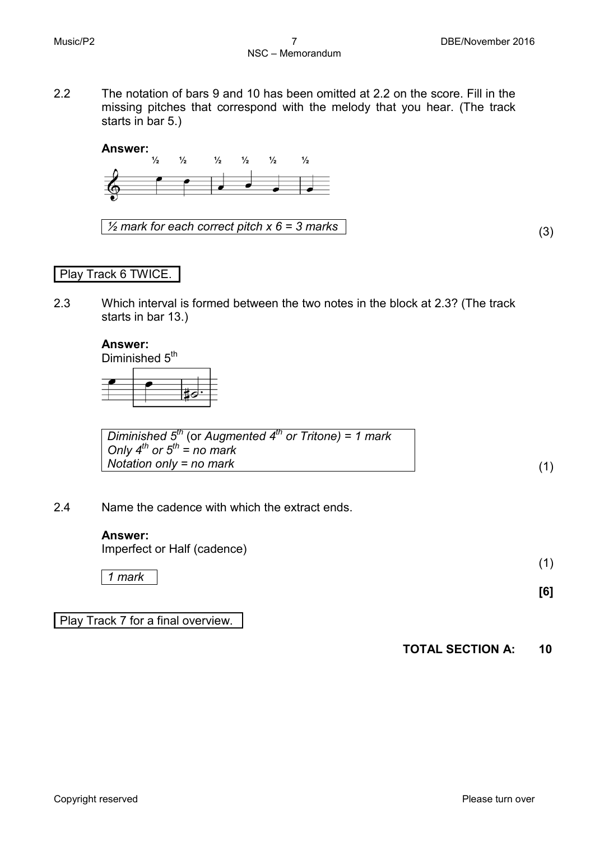2.2 The notation of bars 9 and 10 has been omitted at 2.2 on the score. Fill in the missing pitches that correspond with the melody that you hear. (The track starts in bar 5.)

## **Answer:**



*½ mark for each correct pitch x 6 = 3 marks* (3)

## Play Track 6 TWICE.

2.3 Which interval is formed between the two notes in the block at 2.3? (The track starts in bar 13.)

## **Answer:**

Diminished  $5^{th}$ 



| Diminished $5^{th}$ (or Augmented $4^{th}$ or Tritone) = 1 mark |  |
|-----------------------------------------------------------------|--|
| Only $4^{th}$ or $5^{th}$ = no mark                             |  |
| Notation only = no mark                                         |  |

2.4 Name the cadence with which the extract ends.

#### **Answer:**

Imperfect or Half (cadence)

*1 mark*

Play Track 7 for a final overview.

**TOTAL SECTION A: 10**

(1)

**[6]**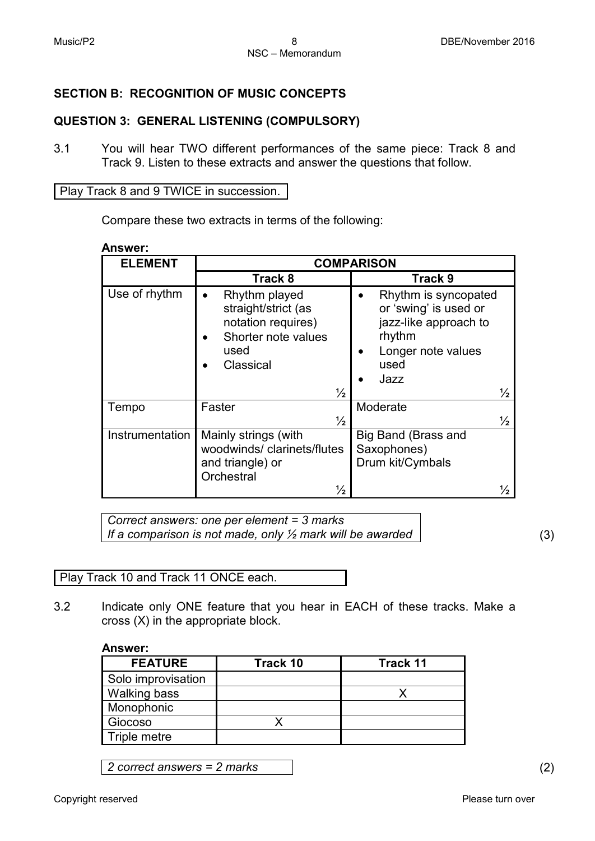## **SECTION B: RECOGNITION OF MUSIC CONCEPTS**

## **QUESTION 3: GENERAL LISTENING (COMPULSORY)**

3.1 You will hear TWO different performances of the same piece: Track 8 and Track 9. Listen to these extracts and answer the questions that follow.

Play Track 8 and 9 TWICE in succession.

Compare these two extracts in terms of the following:

**Answer:**

| <b>ELEMENT</b>  | <b>COMPARISON</b>                                                                                                       |                                                                                                                                         |  |
|-----------------|-------------------------------------------------------------------------------------------------------------------------|-----------------------------------------------------------------------------------------------------------------------------------------|--|
|                 | Track 8                                                                                                                 | Track 9                                                                                                                                 |  |
| Use of rhythm   | Rhythm played<br>straight/strict (as<br>notation requires)<br>Shorter note values<br>used<br>Classical<br>$\frac{1}{2}$ | Rhythm is syncopated<br>or 'swing' is used or<br>jazz-like approach to<br>rhythm<br>Longer note values<br>used<br>Jazz<br>$\frac{1}{2}$ |  |
|                 |                                                                                                                         |                                                                                                                                         |  |
| Tempo           | Faster                                                                                                                  | Moderate                                                                                                                                |  |
|                 | $\frac{1}{2}$                                                                                                           | $\frac{1}{2}$                                                                                                                           |  |
| Instrumentation | Mainly strings (with<br>woodwinds/clarinets/flutes<br>and triangle) or<br>Orchestral                                    | Big Band (Brass and<br>Saxophones)<br>Drum kit/Cymbals                                                                                  |  |
|                 | $\frac{1}{2}$                                                                                                           | $\frac{1}{2}$                                                                                                                           |  |

*Correct answers: one per element = 3 marks If a comparison is not made, only ½ mark will be awarded* (3)

Play Track 10 and Track 11 ONCE each.

3.2 Indicate only ONE feature that you hear in EACH of these tracks. Make a cross (X) in the appropriate block.

#### **Answer:**

| <b>FEATURE</b>      | Track 10 | <b>Track 11</b> |
|---------------------|----------|-----------------|
| Solo improvisation  |          |                 |
| <b>Walking bass</b> |          |                 |
| Monophonic          |          |                 |
| Giocoso             |          |                 |
| Triple metre        |          |                 |

*2 correct answers = 2 marks* (2)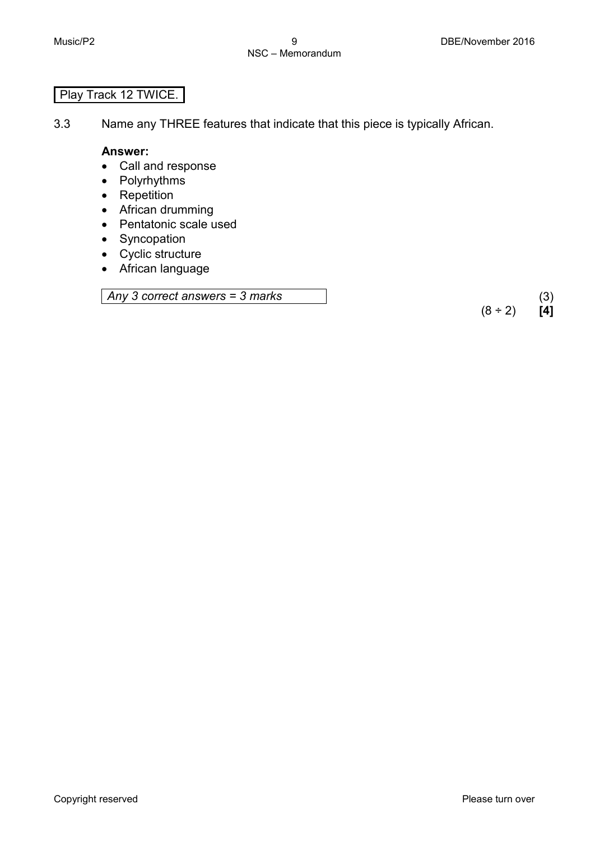## Play Track 12 TWICE.

3.3 Name any THREE features that indicate that this piece is typically African.

#### **Answer:**

- Call and response
- Polyrhythms
- Repetition
- African drumming
- Pentatonic scale used
- Syncopation
- Cyclic structure
- African language

*Any 3 correct answers = 3 marks* (3)

 $(8 \div 2)$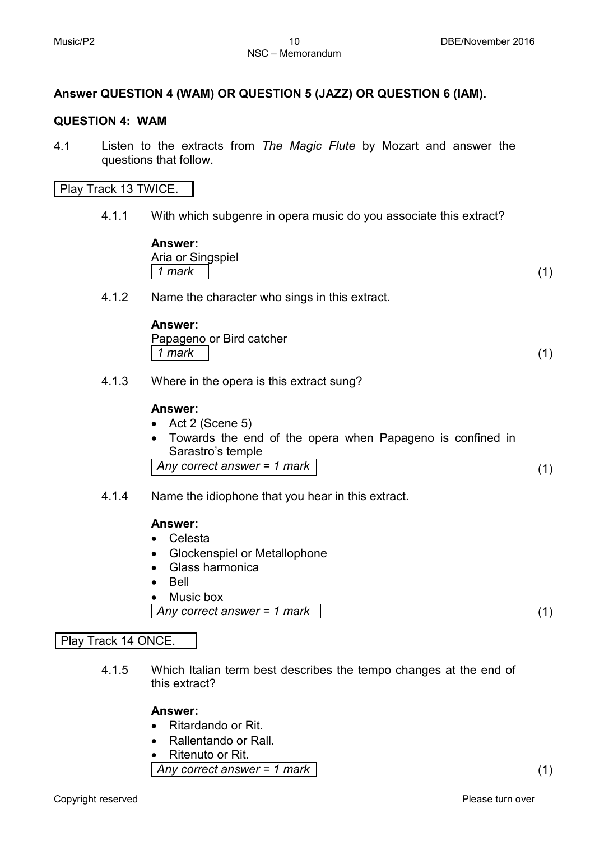## **Answer QUESTION 4 (WAM) OR QUESTION 5 (JAZZ) OR QUESTION 6 (IAM).**

#### **QUESTION 4: WAM**

4.1 Listen to the extracts from *The Magic Flute* by Mozart and answer the questions that follow.

#### Play Track 13 TWICE.

4.1.1 With which subgenre in opera music do you associate this extract?

| <b>Answer:</b>    |  |
|-------------------|--|
| Aria or Singspiel |  |
| $1$ mark          |  |
|                   |  |

4.1.2 Name the character who sings in this extract.

#### **Answer:**

Papageno or Bird catcher *1 mark* (1)

4.1.3 Where in the opera is this extract sung?

#### **Answer:**

- Act 2 (Scene 5)
- Towards the end of the opera when Papageno is confined in Sarastro's temple *Any correct answer = 1 mark* (1)
- 4.1.4 Name the idiophone that you hear in this extract.

#### **Answer:**

- Celesta
- Glockenspiel or Metallophone
- Glass harmonica
- Bell
- Music box

*Any correct answer = 1 mark* (1)

## Play Track 14 ONCE.

4.1.5 Which Italian term best describes the tempo changes at the end of this extract?

## **Answer:**

- Ritardando or Rit.
- Rallentando or Rall.
- Ritenuto or Rit.
- *Any correct answer = 1 mark* (1)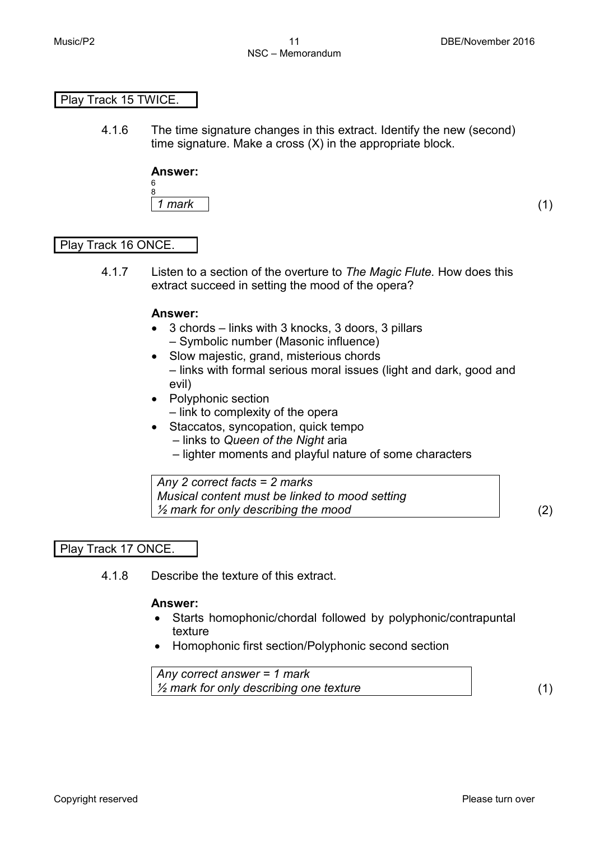## Play Track 15 TWICE.

4.1.6 The time signature changes in this extract. Identify the new (second) time signature. Make a cross (X) in the appropriate block.

#### **Answer:** 6

8 *1 mark* (1)

## Play Track 16 ONCE.

4.1.7 Listen to a section of the overture to *The Magic Flute.* How does this extract succeed in setting the mood of the opera?

#### **Answer:**

- 3 chords links with 3 knocks, 3 doors, 3 pillars – Symbolic number (Masonic influence)
- Slow majestic, grand, misterious chords – links with formal serious moral issues (light and dark, good and evil)
- Polyphonic section
	- link to complexity of the opera
- Staccatos, syncopation, quick tempo
	- links to *Queen of the Night* aria
	- lighter moments and playful nature of some characters

*Any 2 correct facts = 2 marks Musical content must be linked to mood setting ½ mark for only describing the mood* (2)

## Play Track 17 ONCE.

4.1.8 Describe the texture of this extract.

## **Answer:**

- Starts homophonic/chordal followed by polyphonic/contrapuntal texture
- Homophonic first section/Polyphonic second section

*Any correct answer = 1 mark ½ mark for only describing one texture* (1)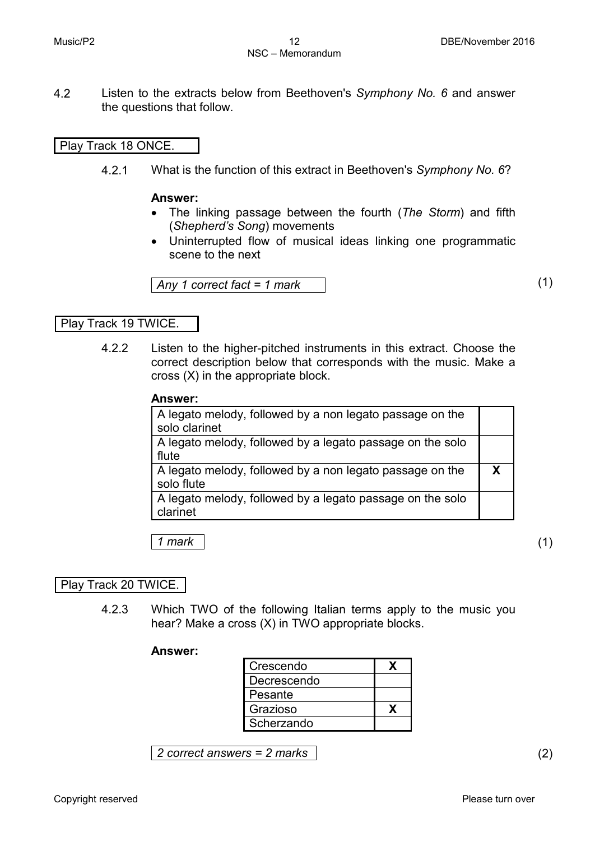4.2 Listen to the extracts below from Beethoven's *Symphony No. 6* and answer the questions that follow.

#### Play Track 18 ONCE.

4.2.1 What is the function of this extract in Beethoven's *Symphony No. 6*?

#### **Answer:**

- The linking passage between the fourth (*The Storm*) and fifth (*Shepherd's Song*) movements
- Uninterrupted flow of musical ideas linking one programmatic scene to the next

*Any 1 correct fact = 1 mark* (1)

#### Play Track 19 TWICE.

4.2.2 Listen to the higher-pitched instruments in this extract. Choose the correct description below that corresponds with the music. Make a cross (X) in the appropriate block.

#### **Answer:**

| A legato melody, followed by a non legato passage on the<br>solo clarinet |  |
|---------------------------------------------------------------------------|--|
| A legato melody, followed by a legato passage on the solo<br>flute        |  |
| A legato melody, followed by a non legato passage on the<br>solo flute    |  |
| A legato melody, followed by a legato passage on the solo<br>clarinet     |  |

*1 mark* (1)

## Play Track 20 TWICE.

4.2.3 Which TWO of the following Italian terms apply to the music you hear? Make a cross (X) in TWO appropriate blocks.

#### **Answer:**

| Crescendo   |  |
|-------------|--|
| Decrescendo |  |
| Pesante     |  |
| Grazioso    |  |
| Scherzando  |  |

*2 correct answers = 2 marks* (2)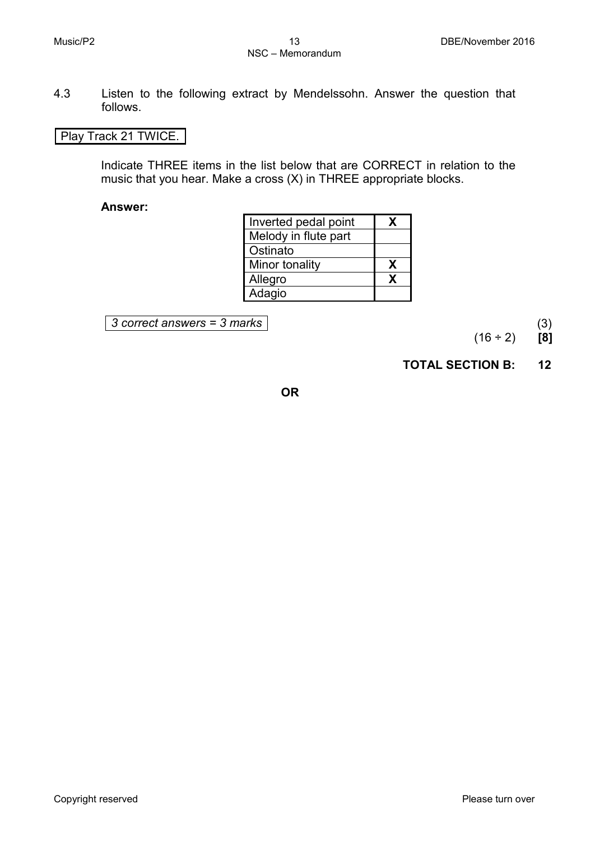4.3 Listen to the following extract by Mendelssohn. Answer the question that follows.

## Play Track 21 TWICE.

Indicate THREE items in the list below that are CORRECT in relation to the music that you hear. Make a cross (X) in THREE appropriate blocks.

#### **Answer:**

| Inverted pedal point | x |
|----------------------|---|
| Melody in flute part |   |
| Ostinato             |   |
| Minor tonality       | X |
| Allegro              | X |
| Adagio               |   |

*3 correct answers = 3 marks* (3)

(16 ÷ 2) **[8]**

**TOTAL SECTION B: 12**

**OR**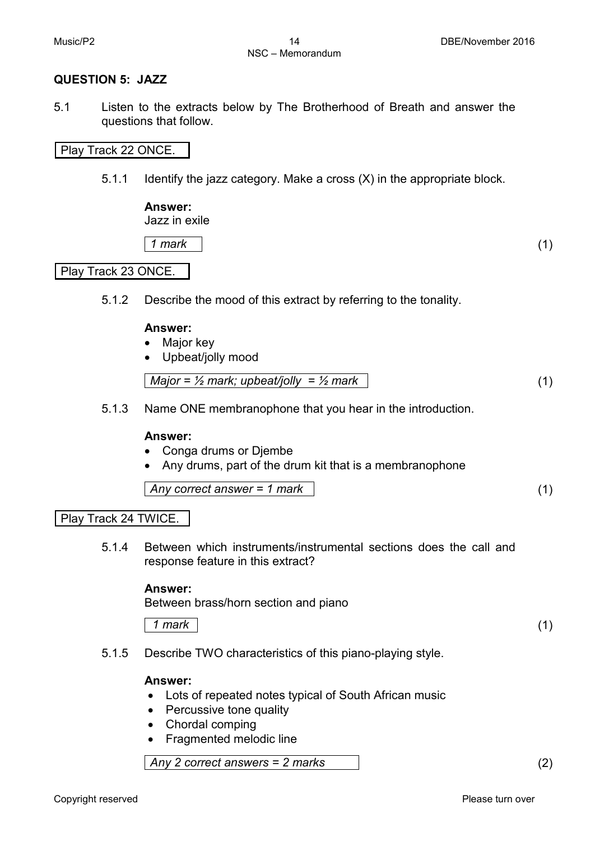## **QUESTION 5: JAZZ**

5.1 Listen to the extracts below by The Brotherhood of Breath and answer the questions that follow.

#### Play Track 22 ONCE.

5.1.1 Identify the jazz category. Make a cross (X) in the appropriate block.

## **Answer:**

Jazz in exile

*1 mark* (1)

## Play Track 23 ONCE.

5.1.2 Describe the mood of this extract by referring to the tonality.

#### **Answer:**

- Major key
- Upbeat/jolly mood

|--|

5.1.3 Name ONE membranophone that you hear in the introduction.

#### **Answer:**

- Conga drums or Djembe
- Any drums, part of the drum kit that is a membranophone

|--|--|--|

#### Play Track 24 TWICE.

5.1.4 Between which instruments/instrumental sections does the call and response feature in this extract?

#### **Answer:**

Between brass/horn section and piano

*1 mark* (1)

5.1.5 Describe TWO characteristics of this piano-playing style.

#### **Answer:**

- Lots of repeated notes typical of South African music
- Percussive tone quality
- Chordal comping
- Fragmented melodic line

*Any 2 correct answers = 2 marks* (2)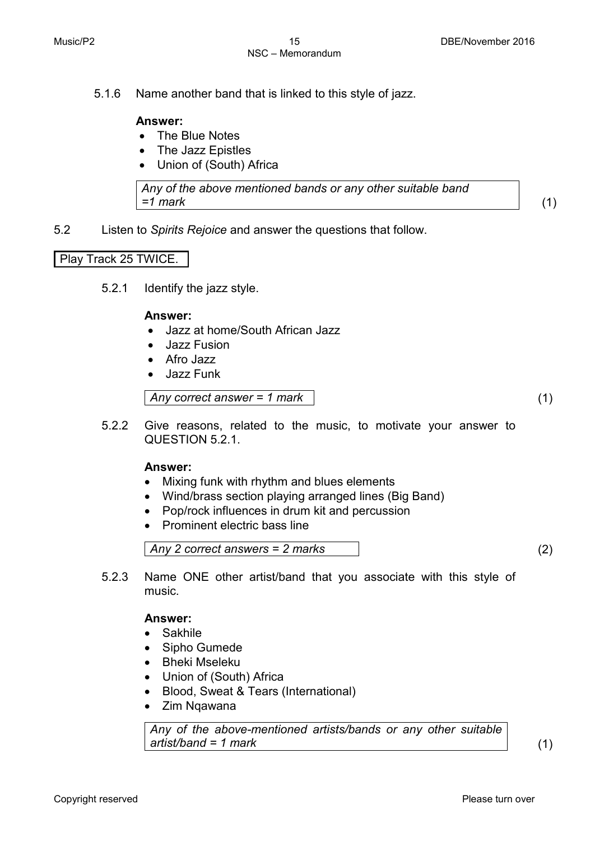5.1.6 Name another band that is linked to this style of jazz.

#### **Answer:**

- The Blue Notes
- The Jazz Epistles
- Union of (South) Africa

*Any of the above mentioned bands or any other suitable band =1 mark* (1)

5.2 Listen to *Spirits Rejoice* and answer the questions that follow.

## Play Track 25 TWICE.

5.2.1 Identify the jazz style.

#### **Answer:**

- Jazz at home/South African Jazz
- Jazz Fusion
- Afro Jazz
- Jazz Funk

*Any correct answer = 1 mark* (1)

5.2.2 Give reasons, related to the music, to motivate your answer to QUESTION 5.2.1.

#### **Answer:**

- Mixing funk with rhythm and blues elements
- Wind/brass section playing arranged lines (Big Band)
- Pop/rock influences in drum kit and percussion
- Prominent electric bass line

*Any 2 correct answers = 2 marks* (2)

5.2.3 Name ONE other artist/band that you associate with this style of music.

#### **Answer:**

- Sakhile
- Sipho Gumede
- Bheki Mseleku
- Union of (South) Africa
- [Blood, Sweat & Tears](https://en.wikipedia.org/wiki/Blood,_Sweat_%26_Tears) (International)
- Zim Nqawana

*Any of the above-mentioned artists/bands or any other suitable artist/band = 1 mark* (1)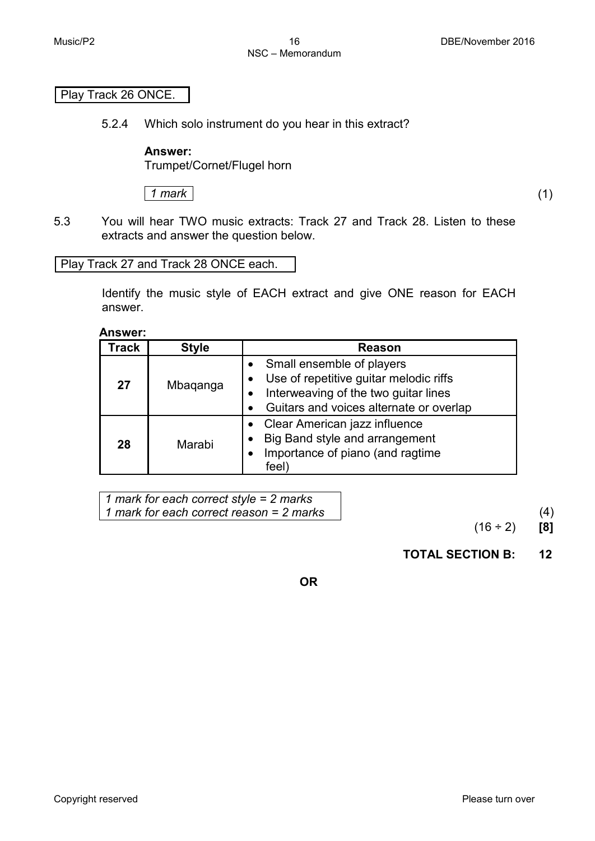## Play Track 26 ONCE.

5.2.4 Which solo instrument do you hear in this extract?

## **Answer:**

Trumpet/Cornet/Flugel horn

*1 mark* (1)

5.3 You will hear TWO music extracts: Track 27 and Track 28. Listen to these extracts and answer the question below.

## Play Track 27 and Track 28 ONCE each.

Identify the music style of EACH extract and give ONE reason for EACH answer.

**Answer:**

| Track | <b>Style</b> | <b>Reason</b>                                                                                                                                          |
|-------|--------------|--------------------------------------------------------------------------------------------------------------------------------------------------------|
| 27    | Mbaqanga     | Small ensemble of players<br>Use of repetitive guitar melodic riffs<br>Interweaving of the two guitar lines<br>Guitars and voices alternate or overlap |
| 28    | Marabi       | Clear American jazz influence<br>Big Band style and arrangement<br>Importance of piano (and ragtime<br>feel)                                           |

*1 mark for each correct style = 2 marks 1 mark for each correct reason = 2 marks* (4)

(16 ÷ 2) **[8]**

## **TOTAL SECTION B: 12**

**OR**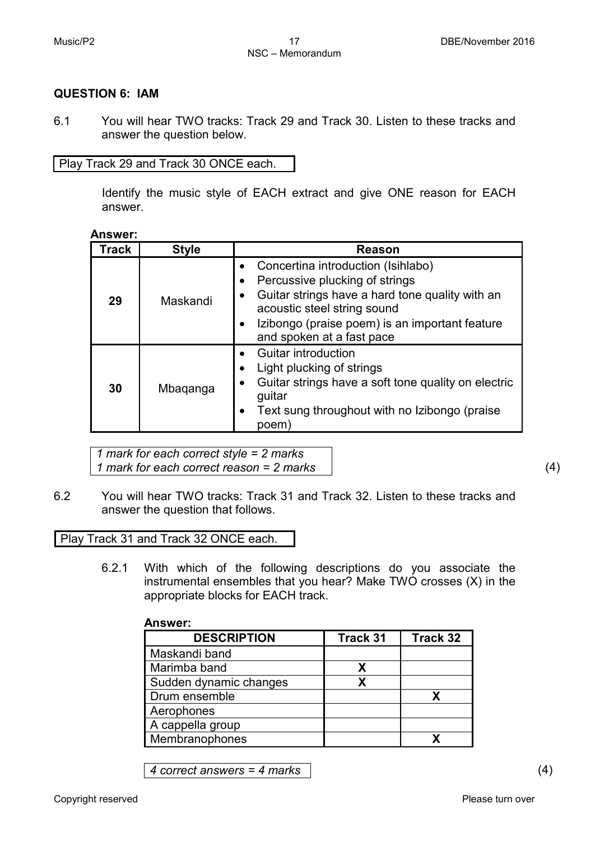## **QUESTION 6: IAM**

6.1 You will hear TWO tracks: Track 29 and Track 30. Listen to these tracks and answer the question below.

Play Track 29 and Track 30 ONCE each.

Identify the music style of EACH extract and give ONE reason for EACH answer.

**Answer:**

| Track | <b>Style</b> | <b>Reason</b>                                                                                                                                                                                                                         |
|-------|--------------|---------------------------------------------------------------------------------------------------------------------------------------------------------------------------------------------------------------------------------------|
| 29    | Maskandi     | Concertina introduction (Isihlabo)<br>Percussive plucking of strings<br>Guitar strings have a hard tone quality with an<br>acoustic steel string sound<br>Izibongo (praise poem) is an important feature<br>and spoken at a fast pace |
| 30    | Mbaganga     | <b>Guitar introduction</b><br>Light plucking of strings<br>Guitar strings have a soft tone quality on electric<br>guitar<br>Text sung throughout with no Izibongo (praise<br>$\bullet$<br>poem                                        |

*1 mark for each correct style = 2 marks 1 mark for each correct reason = 2 marks* (4)

6.2 You will hear TWO tracks: Track 31 and Track 32. Listen to these tracks and answer the question that follows.

Play Track 31 and Track 32 ONCE each.

6.2.1 With which of the following descriptions do you associate the instrumental ensembles that you hear? Make TWO crosses (X) in the appropriate blocks for EACH track.

| Answer:                |          |          |
|------------------------|----------|----------|
| <b>DESCRIPTION</b>     | Track 31 | Track 32 |
| Maskandi band          |          |          |
| Marimba band           | х        |          |
| Sudden dynamic changes | X        |          |
| Drum ensemble          |          | х        |
| Aerophones             |          |          |
| A cappella group       |          |          |
| Membranophones         |          |          |

*4 correct answers = 4 marks* (4)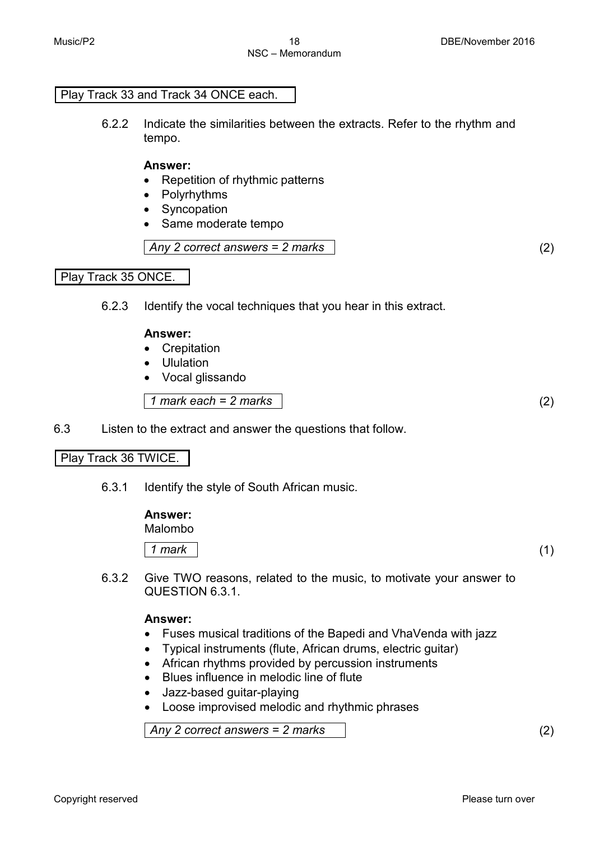## Play Track 33 and Track 34 ONCE each.

6.2.2 Indicate the similarities between the extracts. Refer to the rhythm and tempo.

#### **Answer:**

- Repetition of rhythmic patterns
- Polyrhythms
- Syncopation
- Same moderate tempo

*Any 2 correct answers = 2 marks* (2)

Play Track 35 ONCE.

6.2.3 Identify the vocal techniques that you hear in this extract.

#### **Answer:**

- Crepitation
- Ululation
- Vocal glissando

*1 mark each = 2 marks* (2)

6.3 Listen to the extract and answer the questions that follow.

## Play Track 36 TWICE.

6.3.1 Identify the style of South African music.

| <b>Answer:</b><br>Malombo |     |
|---------------------------|-----|
| 1 mark                    | (1) |

6.3.2 Give TWO reasons, related to the music, to motivate your answer to QUESTION 6.3.1.

## **Answer:**

- Fuses musical traditions of the Bapedi and VhaVenda with jazz
- Typical instruments (flute, African drums, electric guitar)
- African rhythms provided by percussion instruments
- Blues influence in melodic line of flute
- Jazz-based guitar-playing
- Loose improvised melodic and rhythmic phrases

*Any 2 correct answers = 2 marks* (2)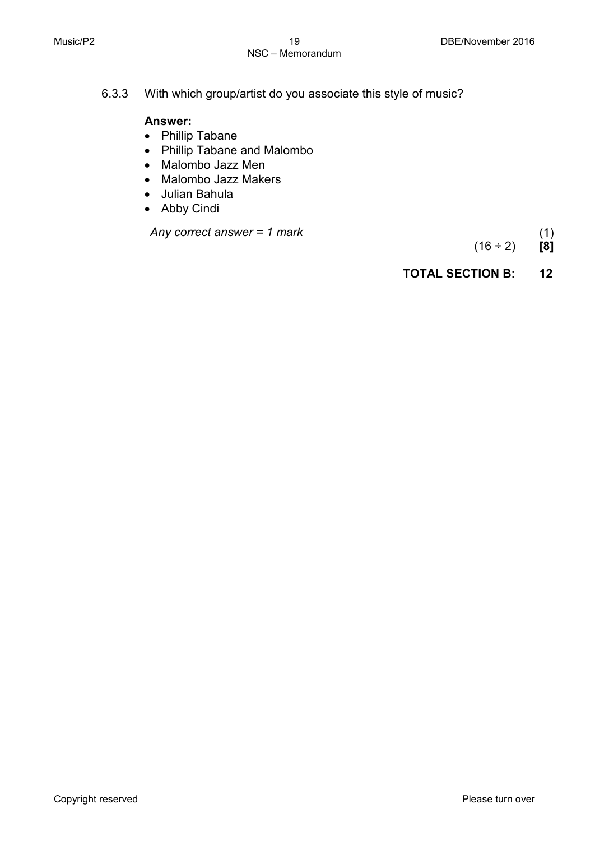6.3.3 With which group/artist do you associate this style of music?

## **Answer:**

- Phillip Tabane
- Phillip Tabane and Malombo
- Malombo Jazz Men
- Malombo Jazz Makers
- Julian Bahula
- Abby Cindi

*Any correct answer = 1 mark* (1)

 $(16 \div 2)$ 

## **TOTAL SECTION B: 12**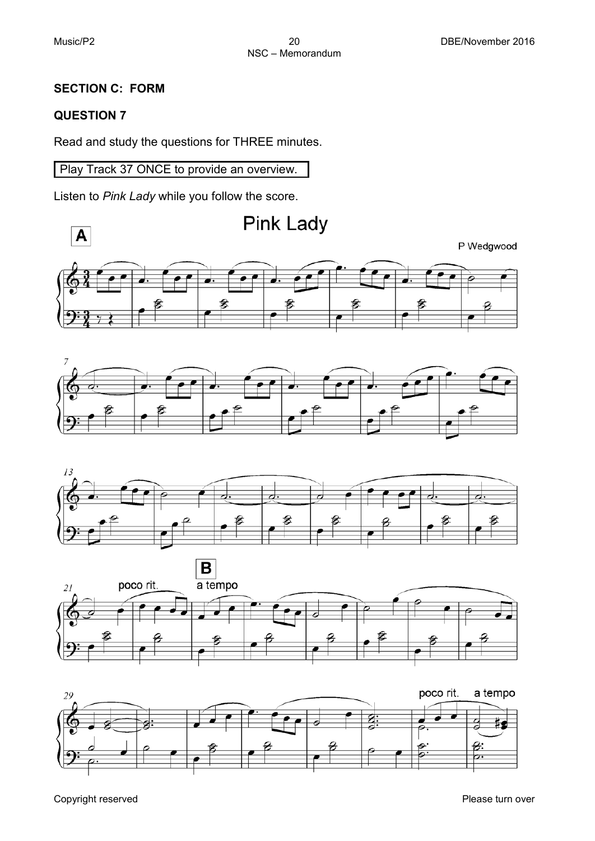## **SECTION C: FORM**

## **QUESTION 7**

Read and study the questions for THREE minutes.

Play Track 37 ONCE to provide an overview.

Listen to *Pink Lady* while you follow the score.











Copyright reserved **Please** turn over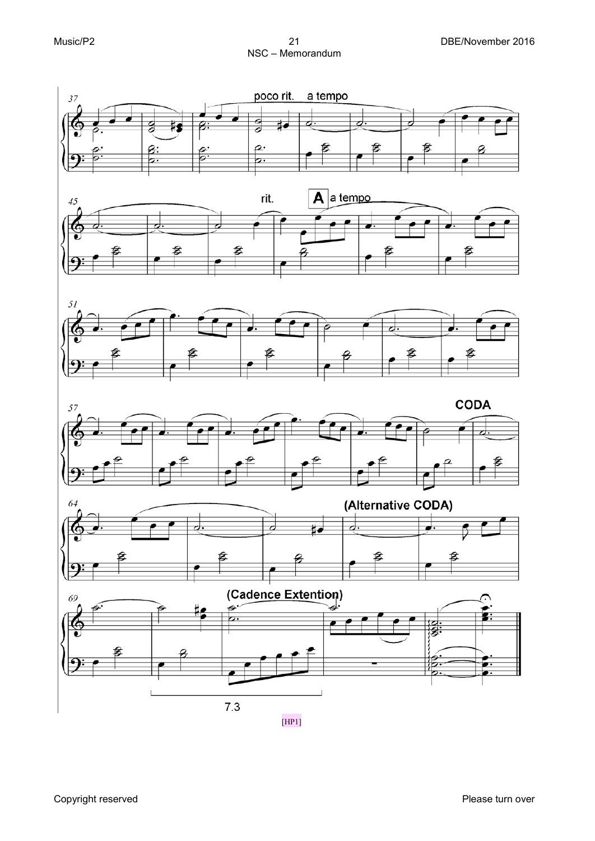Music/P2 21 DBE/November 2016 NSC – Memorandum









Copyright reserved **Please** turn over